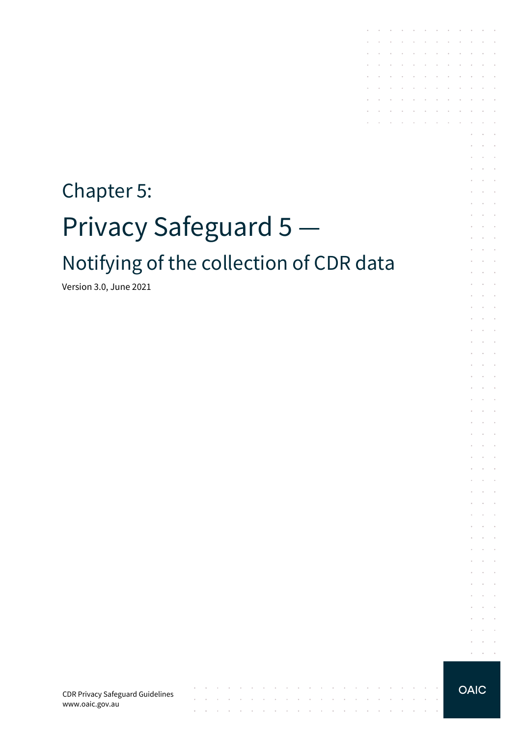# Chapter 5: Privacy Safeguard 5 Notifying of the collection of CDR data

 $\sim 10^{-10}$  km

the contract of the contract of the contract of

 $\sim$  $\sim$ 

 $\alpha$  , and  $\alpha$  , and  $\alpha$  , and  $\alpha$ 

Version 3.0, June 2021

CDR Privacy Safeguard Guidelines www.oaic.gov.au

**OAIC** 

 $\mathcal{L}^{\text{max}}$  $\alpha$  ,  $\beta$  ,  $\beta$  ,  $\beta$ 

the contract of the contract of

and a state of the state

 $\sim$   $\sim$ 

 $\sim$   $\sim$ 

**Contract Contract** 

 $\sim$  $\sim$  $\sim$ 

**Contract Contract** 

 $\sim$   $\sim$ 

 $\mathcal{L}_{\mathcal{A}}$  $\ddot{\phantom{1}}$ 

à.  $\mathcal{L}$  $\overline{\phantom{a}}$ 

 $\epsilon$  $\mathcal{L}_{\mathcal{A}}$  $\ddot{\phantom{1}}$ 

 $\mathcal{L}$  $\sim$  $\mathcal{L}$  $\mathcal{L}$ 

 $\epsilon$  $\mathcal{L}_{\mathcal{A}}$  $\mathbf{r}$  $\sim$ 

 $\mathbb{R}^2$  $\mathcal{L}$  $\overline{\phantom{a}}$  $\mathcal{L}$ 

 $\mathcal{L}$  $\sim$  $\epsilon$  $\sim$  $\bar{a}$ 

 $\epsilon$  $\sim$   $\sim$  $\mathcal{L}_{\mathcal{A}}$ 

 $\mathcal{L}$  $\mathcal{L}$  $\overline{\phantom{a}}$ 

 $\sim$  $\sim$   $\sim$ 

÷  $\sim$ ÷  $\sim$  $\overline{\phantom{a}}$ 

 $\mathcal{L}$ ÷  $\sim$ 

 $\sim$  $\sim$  $\ddot{\phantom{1}}$ 

 $\mathcal{L}$  $\sim$  $\mathcal{L}$  $\mathcal{L}_{\mathcal{A}}$  $\mathbf{r}$ 

 $\mathcal{L}$  $\mathcal{L}$  $\mathcal{L}$ 

 $\sim$ 

 $\overline{\phantom{a}}$ 

÷  $\sim$  $\sim$ 

 $\overline{\phantom{a}}$  $\mathbb{R}^2$  $\sim$ 

 $\mathcal{L}$  $\sim$  $\sim$  $\sim$  $\sim$  $\ddot{\phantom{a}}$  $\sim$  $\sim$  $\sim$ 

 $\sim$  $\sim$ 

 $\sim$ 

 $\sim$  $\sim$ 

 $\mathcal{L}^{\text{max}}$ 

 $\sim$  $\sim$ 

 $\sim$ 

 $\sim$   $\sim$ 

 $\mathcal{L}^{\mathcal{A}}$  . The contribution of the contribution of  $\mathcal{A}$ **Contract Contract**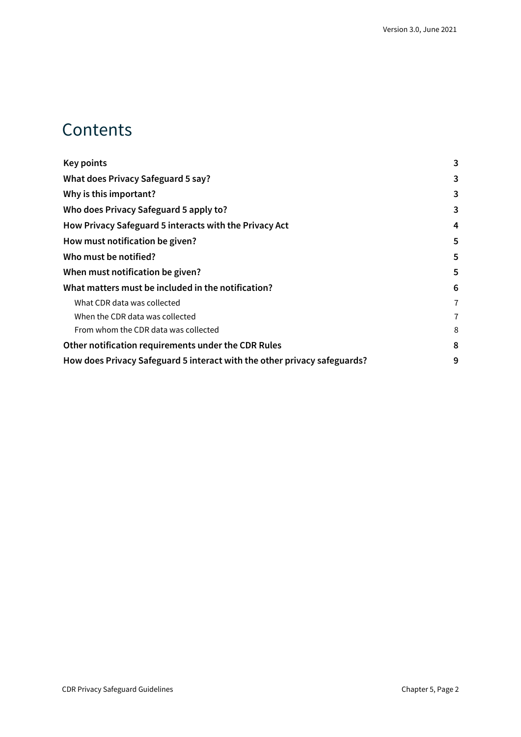#### **Contents**

| 3              |
|----------------|
| 3              |
| 3              |
| 3              |
| 4              |
| 5              |
| 5              |
| 5              |
| 6              |
| 7              |
| $\overline{7}$ |
| 8              |
| 8              |
| 9              |
|                |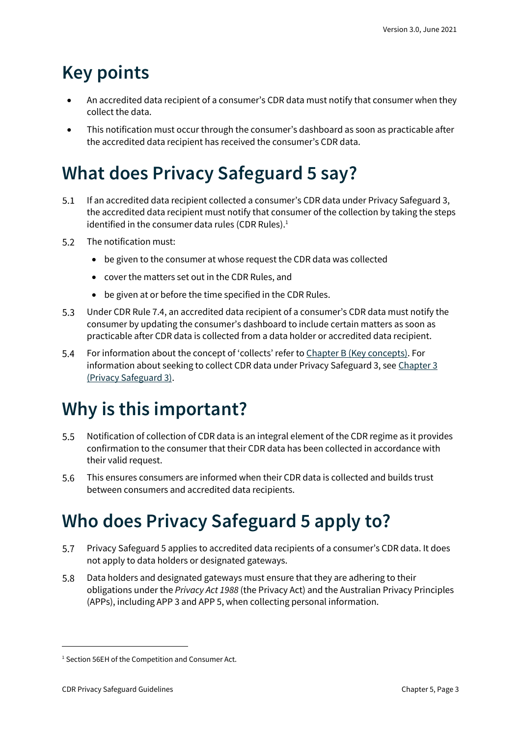# <span id="page-2-0"></span>**Key points**

- An accredited data recipient of a consumer's CDR data must notify that consumer when they collect the data.
- This notification must occur through the consumer's dashboard as soon as practicable after the accredited data recipient has received the consumer's CDR data.

# <span id="page-2-1"></span>**What does Privacy Safeguard 5 say?**

- $5.1$ If an accredited data recipient collected a consumer's CDR data under Privacy Safeguard 3, the accredited data recipient must notify that consumer of the collection by taking the steps identified in the consumer data rules (CDR Rules).<sup>1</sup>
- 5.2 The notification must:
	- be given to the consumer at whose request the CDR data was collected
	- cover the matters set out in the CDR Rules, and
	- be given at or before the time specified in the CDR Rules.
- $5.3$ Under CDR Rule 7.4, an accredited data recipient of a consumer's CDR data must notify the consumer by updating the consumer's dashboard to include certain matters as soon as practicable after CDR data is collected from a data holder or accredited data recipient.
- For information about the concept of 'collects' refer to [Chapter B \(Key concepts\).](https://www.oaic.gov.au/consumer-data-right/cdr-privacy-safeguard-guidelines/chapter-b-key-concepts) For  $5.4$ information about seeking to collect CDR data under Privacy Safeguard 3, see Chapter 3 [\(Privacy Safeguard 3\).](https://www.oaic.gov.au/consumer-data-right/cdr-privacy-safeguard-guidelines/chapter-c-consent-the-basis-for-collecting-and-using-cdr-data/)

## <span id="page-2-2"></span>**Why is this important?**

- $5.5$ Notification of collection of CDR data is an integral element of the CDR regime as it provides confirmation to the consumer that their CDR data has been collected in accordance with their valid request.
- This ensures consumers are informed when their CDR data is collected and builds trust 5.6 between consumers and accredited data recipients.

## <span id="page-2-3"></span>**Who does Privacy Safeguard 5 apply to?**

- $5.7$ Privacy Safeguard 5 applies to accredited data recipients of a consumer's CDR data. It does not apply to data holders or designated gateways.
- 5.8 Data holders and designated gateways must ensure that they are adhering to their obligations under the *Privacy Act 1988* (the Privacy Act) and the Australian Privacy Principles (APPs), including APP 3 and APP 5, when collecting personal information.

<sup>&</sup>lt;sup>1</sup> Section 56EH of the Competition and Consumer Act.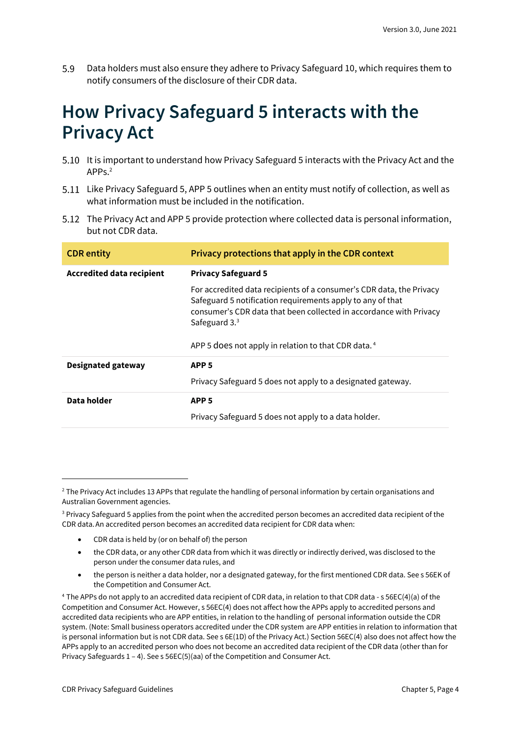5.9 Data holders must also ensure they adhere to Privacy Safeguard 10, which requires them to notify consumers of the disclosure of their CDR data.

#### <span id="page-3-0"></span>**How Privacy Safeguard 5 interacts with the Privacy Act**

- 5.10 It is important to understand how Privacy Safeguard 5 interacts with the Privacy Act and the APPs.<sup>2</sup>
- 5.11 Like Privacy Safeguard 5, APP 5 outlines when an entity must notify of collection, as well as what information must be included in the notification.
- 5.12 The Privacy Act and APP 5 provide protection where collected data is personal information, but not CDR data.

| <b>CDR</b> entity                | Privacy protections that apply in the CDR context                                                                                                                                                                                                                                             |
|----------------------------------|-----------------------------------------------------------------------------------------------------------------------------------------------------------------------------------------------------------------------------------------------------------------------------------------------|
| <b>Accredited data recipient</b> | <b>Privacy Safeguard 5</b>                                                                                                                                                                                                                                                                    |
|                                  | For accredited data recipients of a consumer's CDR data, the Privacy<br>Safeguard 5 notification requirements apply to any of that<br>consumer's CDR data that been collected in accordance with Privacy<br>Safeguard $33$<br>APP 5 does not apply in relation to that CDR data. <sup>4</sup> |
| Designated gateway               | APP <sub>5</sub>                                                                                                                                                                                                                                                                              |
|                                  | Privacy Safeguard 5 does not apply to a designated gateway.                                                                                                                                                                                                                                   |
| Data holder                      | APP <sub>5</sub>                                                                                                                                                                                                                                                                              |
|                                  | Privacy Safeguard 5 does not apply to a data holder.                                                                                                                                                                                                                                          |

<sup>3</sup> Privacy Safeguard 5 applies from the point when the accredited person becomes an accredited data recipient of the CDR data.An accredited person becomes an accredited data recipient for CDR data when:

- CDR data is held by (or on behalf of) the person
- the CDR data, or any other CDR data from which it was directly or indirectly derived, was disclosed to the person under the consumer data rules, and
- the person is neither a data holder, nor a designated gateway, for the first mentioned CDR data. See s 56EK of the Competition and Consumer Act.

<sup>4</sup> The APPs do not apply to an accredited data recipient of CDR data, in relation to that CDR data - s 56EC(4)(a) of the Competition and Consumer Act. However, s 56EC(4) does not affect how the APPs apply to accredited persons and accredited data recipients who are APP entities, in relation to the handling of personal information outside the CDR system. (Note: Small business operators accredited under the CDR system are APP entities in relation to information that is personal information but is not CDR data. See s 6E(1D) of the Privacy Act.) Section 56EC(4) also does not affect how the APPs apply to an accredited person who does not become an accredited data recipient of the CDR data (other than for Privacy Safeguards 1 – 4). See s 56EC(5)(aa) of the Competition and Consumer Act.

<sup>&</sup>lt;sup>2</sup> The Privacy Act includes 13 APPs that regulate the handling of personal information by certain organisations and Australian Government agencies.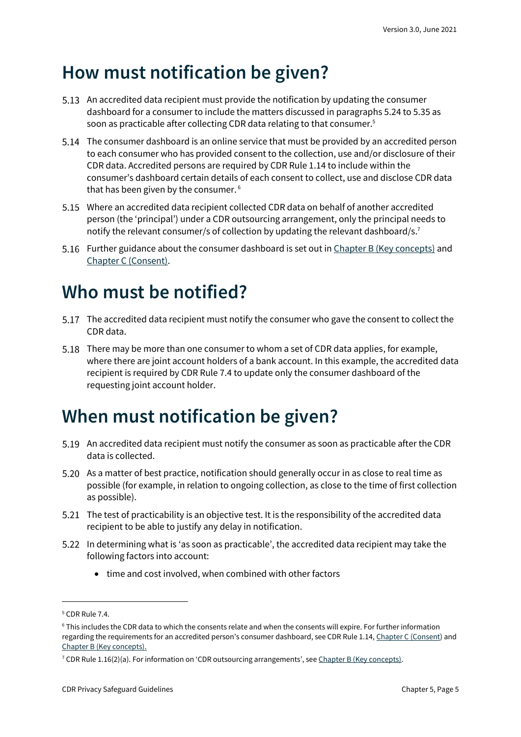#### <span id="page-4-0"></span>**How must notification be given?**

- 5.13 An accredited data recipient must provide the notification by updating the consumer dashboard for a consumer to include the matters discussed in paragraphs 5.24 to 5.35 as soon as practicable after collecting CDR data relating to that consumer. 5
- The consumer dashboard is an online service that must be provided by an accredited person to each consumer who has provided consent to the collection, use and/or disclosure of their CDR data. Accredited persons are required by CDR Rule 1.14 to include within the consumer's dashboard certain details of each consent to collect, use and disclose CDR data that has been given by the consumer. <sup>6</sup>
- Where an accredited data recipient collected CDR data on behalf of another accredited person (the 'principal') under a CDR outsourcing arrangement, only the principal needs to notify the relevant consumer/s of collection by updating the relevant dashboard/s.<sup>7</sup>
- 5.16 Further guidance about the consumer dashboard is set out i[n Chapter B \(Key concepts\)](https://www.oaic.gov.au/consumer-data-right/cdr-privacy-safeguard-guidelines/chapter-b-key-concepts) and [Chapter C \(Consent\).](https://www.oaic.gov.au/consumer-data-right/cdr-privacy-safeguard-guidelines/chapter-c-consent-the-basis-for-collecting-and-using-cdr-data/)

### <span id="page-4-1"></span>**Who must be notified?**

- The accredited data recipient must notify the consumer who gave the consent to collect the CDR data.
- There may be more than one consumer to whom a set of CDR data applies, for example, where there are joint account holders of a bank account. In this example, the accredited data recipient is required by CDR Rule 7.4 to update only the consumer dashboard of the requesting joint account holder.

### <span id="page-4-2"></span>**When must notification be given?**

- 5.19 An accredited data recipient must notify the consumer as soon as practicable after the CDR data is collected.
- 5.20 As a matter of best practice, notification should generally occur in as close to real time as possible (for example, in relation to ongoing collection, as close to the time of first collection as possible).
- The test of practicability is an objective test. It is the responsibility of the accredited data recipient to be able to justify any delay in notification.
- In determining what is 'as soon as practicable', the accredited data recipient may take the following factors into account:
	- time and cost involved, when combined with other factors

<sup>5</sup> CDR Rule 7.4.

<sup>6</sup> This includes the CDR data to which the consents relate and when the consents will expire. For further information regarding the requirements for an accredited person's consumer dashboard, see CDR Rule 1.14, [Chapter C \(Consent\)](https://www.oaic.gov.au/consumer-data-right/cdr-privacy-safeguard-guidelines/chapter-c-consent-the-basis-for-collecting-and-using-cdr-data/) and [Chapter B \(Key concepts\).](https://www.oaic.gov.au/consumer-data-right/cdr-privacy-safeguard-guidelines/chapter-b-key-concepts/)

<sup>&</sup>lt;sup>7</sup> CDR Rule 1.16(2)(a). For information on 'CDR outsourcing arrangements', see Chapter B [\(Key concepts\).](https://www.oaic.gov.au/consumer-data-right/cdr-privacy-safeguard-guidelines/chapter-b-key-concepts)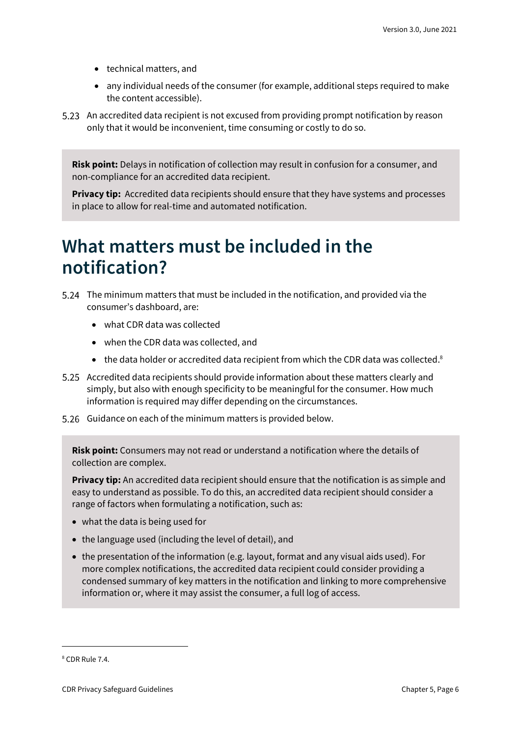- technical matters, and
- any individual needs of the consumer (for example, additional steps required to make the content accessible).
- 5.23 An accredited data recipient is not excused from providing prompt notification by reason only that it would be inconvenient, time consuming or costly to do so.

**Risk point:** Delays in notification of collection may result in confusion for a consumer, and non-compliance for an accredited data recipient.

**Privacy tip:** Accredited data recipients should ensure that they have systems and processes in place to allow for real-time and automated notification.

#### <span id="page-5-0"></span>**What matters must be included in the notification?**

- The minimum matters that must be included in the notification, and provided via the consumer's dashboard, are:
	- what CDR data was collected
	- when the CDR data was collected, and
	- the data holder or accredited data recipient from which the CDR data was collected.<sup>8</sup>
- Accredited data recipients should provide information about these matters clearly and simply, but also with enough specificity to be meaningful for the consumer. How much information is required may differ depending on the circumstances.
- 5.26 Guidance on each of the minimum matters is provided below.

**Risk point:** Consumers may not read or understand a notification where the details of collection are complex.

**Privacy tip:** An accredited data recipient should ensure that the notification is as simple and easy to understand as possible. To do this, an accredited data recipient should consider a range of factors when formulating a notification, such as:

- what the data is being used for
- the language used (including the level of detail), and
- the presentation of the information (e.g. layout, format and any visual aids used). For more complex notifications, the accredited data recipient could consider providing a condensed summary of key matters in the notification and linking to more comprehensive information or, where it may assist the consumer, a full log of access.

<sup>8</sup> CDR Rule 7.4.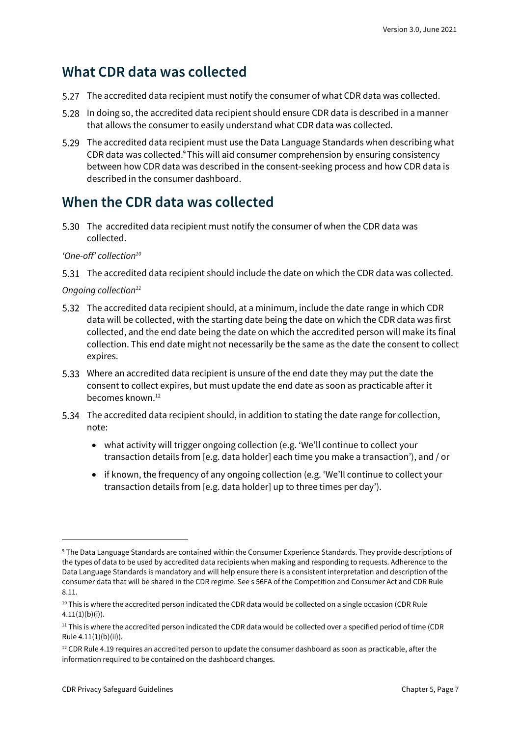#### <span id="page-6-0"></span>**What CDR data was collected**

- The accredited data recipient must notify the consumer of what CDR data was collected.
- In doing so, the accredited data recipient should ensure CDR data is described in a manner that allows the consumer to easily understand what CDR data was collected.
- The accredited data recipient must use the Data Language Standards when describing what CDR data was collected.<sup>9</sup> This will aid consumer comprehension by ensuring consistency between how CDR data was described in the consent-seeking process and how CDR data is described in the consumer dashboard.

#### <span id="page-6-1"></span>**When the CDR data was collected**

5.30 The accredited data recipient must notify the consumer of when the CDR data was collected.

#### *'One-off' collection<sup>10</sup>*

The accredited data recipient should include the date on which the CDR data was collected.

#### *Ongoing collection<sup>11</sup>*

- The accredited data recipient should, at a minimum, include the date range in which CDR data will be collected, with the starting date being the date on which the CDR data was first collected, and the end date being the date on which the accredited person will make its final collection. This end date might not necessarily be the same as the date the consent to collect expires.
- Where an accredited data recipient is unsure of the end date they may put the date the consent to collect expires, but must update the end date as soon as practicable after it becomes known.<sup>12</sup>
- The accredited data recipient should, in addition to stating the date range for collection, note:
	- what activity will trigger ongoing collection (e.g. 'We'll continue to collect your transaction details from [e.g. data holder] each time you make a transaction'), and / or
	- if known, the frequency of any ongoing collection (e.g. 'We'll continue to collect your transaction details from [e.g. data holder] up to three times per day').

<sup>9</sup> The Data Language Standards are contained within the Consumer Experience Standards. They provide descriptions of the types of data to be used by accredited data recipients when making and responding to requests. Adherence to the Data Language Standards is mandatory and will help ensure there is a consistent interpretation and description of the consumer data that will be shared in the CDR regime. See s 56FA of the Competition and Consumer Act and CDR Rule 8.11.

 $10$  This is where the accredited person indicated the CDR data would be collected on a single occasion (CDR Rule  $4.11(1)(b)(i)$ .

<sup>&</sup>lt;sup>11</sup> This is where the accredited person indicated the CDR data would be collected over a specified period of time (CDR Rule 4.11(1)(b)(ii)).

 $12$  CDR Rule 4.19 requires an accredited person to update the consumer dashboard as soon as practicable, after the information required to be contained on the dashboard changes.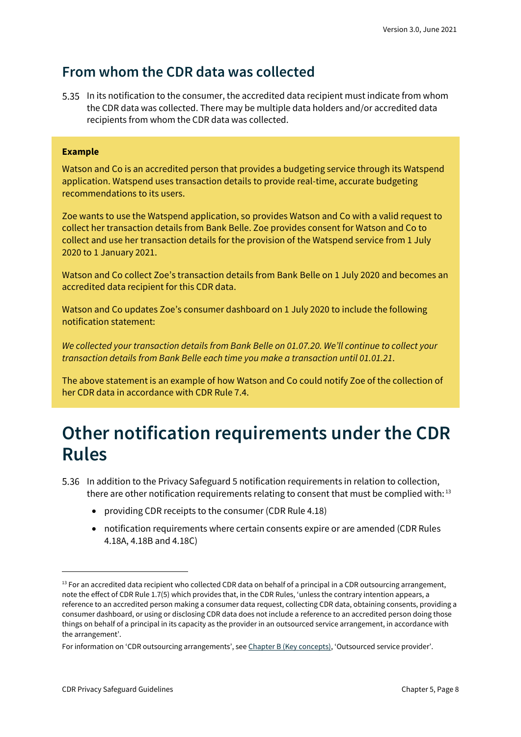#### <span id="page-7-0"></span>**From whom the CDR data was collected**

In its notification to the consumer, the accredited data recipient must indicate from whom the CDR data was collected. There may be multiple data holders and/or accredited data recipients from whom the CDR data was collected.

#### **Example**

Watson and Co is an accredited person that provides a budgeting service through its Watspend application. Watspend uses transaction details to provide real-time, accurate budgeting recommendations to its users.

Zoe wants to use the Watspend application, so provides Watson and Co with a valid request to collect her transaction details from Bank Belle. Zoe provides consent for Watson and Co to collect and use her transaction details for the provision of the Watspend service from 1 July 2020 to 1 January 2021.

Watson and Co collect Zoe's transaction details from Bank Belle on 1 July 2020 and becomes an accredited data recipient for this CDR data.

Watson and Co updates Zoe's consumer dashboard on 1 July 2020 to include the following notification statement:

*We collected your transaction details from Bank Belle on 01.07.20. We'll continue to collect your transaction details from Bank Belle each time you make a transaction until 01.01.21*.

The above statement is an example of how Watson and Co could notify Zoe of the collection of her CDR data in accordance with CDR Rule 7.4.

#### <span id="page-7-1"></span>**Other notification requirements under the CDR Rules**

- In addition to the Privacy Safeguard 5 notification requirements in relation to collection, there are other notification requirements relating to consent that must be complied with:  $13$ 
	- providing CDR receipts to the consumer (CDR Rule 4.18)
	- notification requirements where certain consents expire or are amended (CDR Rules 4.18A, 4.18B and 4.18C)

 $13$  For an accredited data recipient who collected CDR data on behalf of a principal in a CDR outsourcing arrangement, note the effect of CDR Rule 1.7(5) which provides that, in the CDR Rules, 'unless the contrary intention appears, a reference to an accredited person making a consumer data request, collecting CDR data, obtaining consents, providing a consumer dashboard, or using or disclosing CDR data does not include a reference to an accredited person doing those things on behalf of a principal in its capacity as the provider in an outsourced service arrangement, in accordance with the arrangement'.

For information on 'CDR outsourcing arrangements', see [Chapter B \(Key concepts\)](https://www.oaic.gov.au/consumer-data-right/cdr-privacy-safeguard-guidelines/chapter-b-key-concepts), 'Outsourced service provider'.